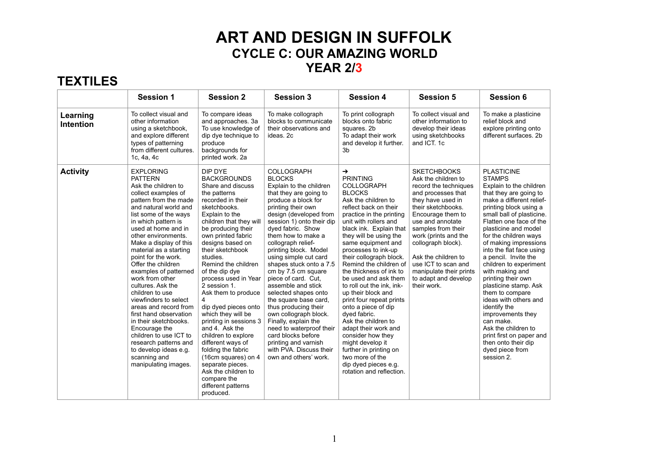# **ART AND DESIGN IN SUFFOLK CYCLE C: OUR AMAZING WORLD YEAR 2/3**

## **TEXTILES**

|                              | <b>Session 1</b>                                                                                                                                                                                                                                                                                                                                                                                                                                                                                                                                                                                                                                                | <b>Session 2</b>                                                                                                                                                                                                                                                                                                                                                                                                                                                                                                                                                                                                                             | <b>Session 3</b>                                                                                                                                                                                                                                                                                                                                                                                                                                                                                                                                                                                                                                               | <b>Session 4</b>                                                                                                                                                                                                                                                                                                                                                                                                                                                                                                                                                                                                                                                                              | <b>Session 5</b>                                                                                                                                                                                                                                                                                                                                                 | <b>Session 6</b>                                                                                                                                                                                                                                                                                                                                                                                                                                                                                                                                                                                                                         |
|------------------------------|-----------------------------------------------------------------------------------------------------------------------------------------------------------------------------------------------------------------------------------------------------------------------------------------------------------------------------------------------------------------------------------------------------------------------------------------------------------------------------------------------------------------------------------------------------------------------------------------------------------------------------------------------------------------|----------------------------------------------------------------------------------------------------------------------------------------------------------------------------------------------------------------------------------------------------------------------------------------------------------------------------------------------------------------------------------------------------------------------------------------------------------------------------------------------------------------------------------------------------------------------------------------------------------------------------------------------|----------------------------------------------------------------------------------------------------------------------------------------------------------------------------------------------------------------------------------------------------------------------------------------------------------------------------------------------------------------------------------------------------------------------------------------------------------------------------------------------------------------------------------------------------------------------------------------------------------------------------------------------------------------|-----------------------------------------------------------------------------------------------------------------------------------------------------------------------------------------------------------------------------------------------------------------------------------------------------------------------------------------------------------------------------------------------------------------------------------------------------------------------------------------------------------------------------------------------------------------------------------------------------------------------------------------------------------------------------------------------|------------------------------------------------------------------------------------------------------------------------------------------------------------------------------------------------------------------------------------------------------------------------------------------------------------------------------------------------------------------|------------------------------------------------------------------------------------------------------------------------------------------------------------------------------------------------------------------------------------------------------------------------------------------------------------------------------------------------------------------------------------------------------------------------------------------------------------------------------------------------------------------------------------------------------------------------------------------------------------------------------------------|
| Learning<br><b>Intention</b> | To collect visual and<br>other information<br>using a sketchbook.<br>and explore different<br>types of patterning<br>from different cultures.<br>1c, 4a, 4c                                                                                                                                                                                                                                                                                                                                                                                                                                                                                                     | To compare ideas<br>and approaches. 3a<br>To use knowledge of<br>dip dye technique to<br>produce<br>backgrounds for<br>printed work. 2a                                                                                                                                                                                                                                                                                                                                                                                                                                                                                                      | To make collograph<br>blocks to communicate<br>their observations and<br>ideas. 2c                                                                                                                                                                                                                                                                                                                                                                                                                                                                                                                                                                             | To print collograph<br>blocks onto fabric<br>squares. 2b<br>To adapt their work<br>and develop it further.<br>3 <sub>b</sub>                                                                                                                                                                                                                                                                                                                                                                                                                                                                                                                                                                  | To collect visual and<br>other information to<br>develop their ideas<br>using sketchbooks<br>and ICT. 1c                                                                                                                                                                                                                                                         | To make a plasticine<br>relief block and<br>explore printing onto<br>different surfaces. 2b                                                                                                                                                                                                                                                                                                                                                                                                                                                                                                                                              |
| <b>Activity</b>              | <b>EXPLORING</b><br><b>PATTERN</b><br>Ask the children to<br>collect examples of<br>pattern from the made<br>and natural world and<br>list some of the ways<br>in which pattern is<br>used at home and in<br>other environments.<br>Make a display of this<br>material as a starting<br>point for the work.<br>Offer the children<br>examples of patterned<br>work from other<br>cultures. Ask the<br>children to use<br>viewfinders to select<br>areas and record from<br>first hand observation<br>in their sketchbooks.<br>Encourage the<br>children to use ICT to<br>research patterns and<br>to develop ideas e.g.<br>scanning and<br>manipulating images. | DIP DYE<br><b>BACKGROUNDS</b><br>Share and discuss<br>the patterns<br>recorded in their<br>sketchbooks.<br>Explain to the<br>children that they will<br>be producing their<br>own printed fabric<br>designs based on<br>their sketchbook<br>studies.<br>Remind the children<br>of the dip dye<br>process used in Year<br>2 session 1.<br>Ask them to produce<br>dip dyed pieces onto<br>which they will be<br>printing in sessions 3<br>and 4. Ask the<br>children to explore<br>different ways of<br>folding the fabric<br>(16cm squares) on 4<br>separate pieces.<br>Ask the children to<br>compare the<br>different patterns<br>produced. | COLLOGRAPH<br><b>BLOCKS</b><br>Explain to the children<br>that they are going to<br>produce a block for<br>printing their own<br>design (developed from<br>session 1) onto their dip<br>dyed fabric. Show<br>them how to make a<br>collograph relief-<br>printing block. Model<br>using simple cut card<br>shapes stuck onto a 7.5<br>cm by 7.5 cm square<br>piece of card. Cut.<br>assemble and stick<br>selected shapes onto<br>the square base card,<br>thus producing their<br>own collograph block.<br>Finally, explain the<br>need to waterproof their<br>card blocks before<br>printing and varnish<br>with PVA. Discuss their<br>own and others' work. | $\rightarrow$<br><b>PRINTING</b><br>COLLOGRAPH<br><b>BLOCKS</b><br>Ask the children to<br>reflect back on their<br>practice in the printing<br>unit with rollers and<br>black ink. Explain that<br>they will be using the<br>same equipment and<br>processes to ink-up<br>their collograph block.<br>Remind the children of<br>the thickness of ink to<br>be used and ask them<br>to roll out the ink, ink-<br>up their block and<br>print four repeat prints<br>onto a piece of dip<br>dyed fabric.<br>Ask the children to<br>adapt their work and<br>consider how they<br>might develop it<br>further in printing on<br>two more of the<br>dip dyed pieces e.g.<br>rotation and reflection. | <b>SKETCHBOOKS</b><br>Ask the children to<br>record the techniques<br>and processes that<br>they have used in<br>their sketchbooks.<br>Encourage them to<br>use and annotate<br>samples from their<br>work (prints and the<br>collograph block).<br>Ask the children to<br>use ICT to scan and<br>manipulate their prints<br>to adapt and develop<br>their work. | <b>PLASTICINE</b><br><b>STAMPS</b><br>Explain to the children<br>that they are going to<br>make a different relief-<br>printing block using a<br>small ball of plasticine.<br>Flatten one face of the<br>plasticine and model<br>for the children ways<br>of making impressions<br>into the flat face using<br>a pencil. Invite the<br>children to experiment<br>with making and<br>printing their own<br>plasticine stamp. Ask<br>them to compare<br>ideas with others and<br>identify the<br>improvements they<br>can make.<br>Ask the children to<br>print first on paper and<br>then onto their dip<br>dyed piece from<br>session 2. |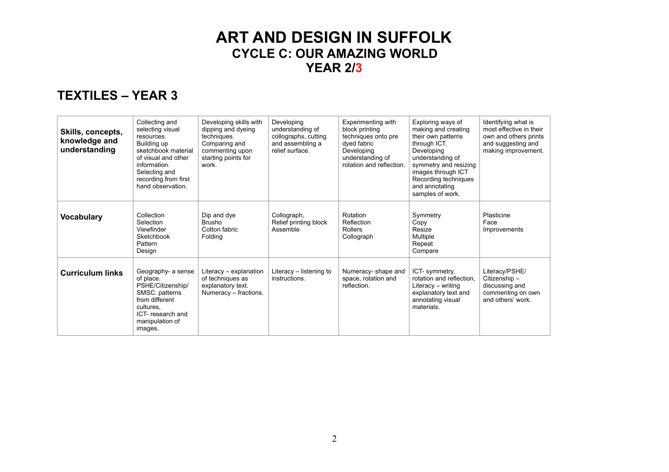## **ART AND DESIGN IN SUFFOLK CYCLE C: OUR AMAZING WORLD YEAR 2/3**

### **TEXTILES – YEAR 3**

| Skills, concepts,<br>knowledge and<br>understanding | Collecting and<br>selecting visual<br>resources.<br>Building up<br>sketchbook material<br>of visual and other<br>information.<br>Selecting and<br>recording from first<br>hand observation. | Developing skills with<br>dipping and dyeing<br>techniques.<br>Comparing and<br>commenting upon<br>starting points for<br>work. | Developing<br>understanding of<br>collographs, cutting<br>and assembling a<br>relief surface. | Experimenting with<br>block printing<br>techniques onto pre<br>dyed fabric<br>Developing<br>understanding of<br>rotation and reflection. | Exploring ways of<br>making and creating<br>their own patterns<br>through ICT.<br>Developing<br>understanding of<br>symmetry and resizing<br>images through ICT<br>Recording techniques<br>and annotating<br>samples of work. | Identifying what is<br>most effective in their<br>own and others prints<br>and suggesting and<br>making improvement. |
|-----------------------------------------------------|---------------------------------------------------------------------------------------------------------------------------------------------------------------------------------------------|---------------------------------------------------------------------------------------------------------------------------------|-----------------------------------------------------------------------------------------------|------------------------------------------------------------------------------------------------------------------------------------------|-------------------------------------------------------------------------------------------------------------------------------------------------------------------------------------------------------------------------------|----------------------------------------------------------------------------------------------------------------------|
| <b>Vocabulary</b>                                   | Collection<br>Selection<br>Viewfinder<br>Sketchbook<br>Pattern<br>Design                                                                                                                    | Dip and dye<br><b>Brusho</b><br>Cotton fabric<br>Folding                                                                        | Collograph,<br>Relief printing block<br>Assemble                                              | Rotation<br>Reflection<br>Rollers<br>Collograph                                                                                          | Symmetry<br>Copy<br>Resize<br><b>Multiple</b><br>Repeat<br>Compare                                                                                                                                                            | Plasticine<br>Face<br>Improvements                                                                                   |
| <b>Curriculum links</b>                             | Geography- a sense<br>of place.<br>PSHE/Citizenship/<br>SMSC. patterns<br>from different<br>cultures.<br>ICT-research and<br>manipulation of<br>images.                                     | Literacy - explanation<br>of techniques as<br>explanatory text.<br>Numeracy – fractions.                                        | Literacy - listening to<br>instructions.                                                      | Numeracy- shape and<br>space, rotation and<br>reflection.                                                                                | ICT- symmetry,<br>rotation and reflection.<br>Literacy – writing<br>explanatory text and<br>annotating visual<br>materials.                                                                                                   | Literacy/PSHE/<br>Citizenship-<br>discussing and<br>commenting on own<br>and others' work.                           |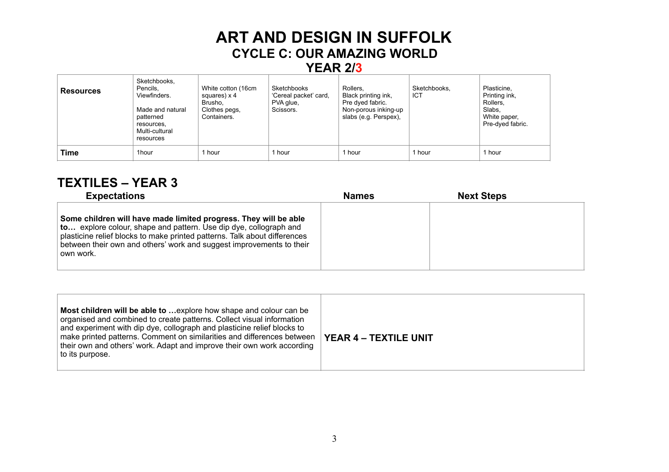# **ART AND DESIGN IN SUFFOLK CYCLE C: OUR AMAZING WORLD**

### **YEAR 2/3**

| <b>Resources</b> | Sketchbooks,<br>Pencils.<br>Viewfinders.<br>Made and natural<br>patterned<br>resources.<br>Multi-cultural<br>resources | White cotton (16cm<br>squares) $x$ 4<br>Brusho,<br>Clothes pegs,<br>Containers. | Sketchbooks<br>'Cereal packet' card,<br>PVA glue,<br>Scissors. | Rollers,<br>Black printing ink,<br>Pre dyed fabric.<br>Non-porous inking-up<br>slabs (e.g. Perspex). | Sketchbooks.<br><b>ICT</b> | Plasticine,<br>Printing ink,<br>Rollers,<br>Slabs.<br>White paper,<br>Pre-dyed fabric. |
|------------------|------------------------------------------------------------------------------------------------------------------------|---------------------------------------------------------------------------------|----------------------------------------------------------------|------------------------------------------------------------------------------------------------------|----------------------------|----------------------------------------------------------------------------------------|
| Time             | 1hour                                                                                                                  | 1 hour                                                                          | 1 hour                                                         | 1 hour                                                                                               | hour                       | 1 hour                                                                                 |

# **TEXTILES – YEAR 3**

| <b>Expectations</b>                                                                                                                                                                                                                                                                                     | <b>Names</b> | <b>Next Steps</b> |  |
|---------------------------------------------------------------------------------------------------------------------------------------------------------------------------------------------------------------------------------------------------------------------------------------------------------|--------------|-------------------|--|
| Some children will have made limited progress. They will be able<br>to explore colour, shape and pattern. Use dip dye, collograph and<br>plasticine relief blocks to make printed patterns. Talk about differences<br>between their own and others' work and suggest improvements to their<br>own work. |              |                   |  |

| Most children will be able to  explore how shape and colour can be<br>organised and combined to create patterns. Collect visual information<br>and experiment with dip dye, collograph and plasticine relief blocks to<br>make printed patterns. Comment on similarities and differences between<br>their own and others' work. Adapt and improve their own work according<br>to its purpose. | <b>YEAR 4 - TEXTILE UNIT</b> |
|-----------------------------------------------------------------------------------------------------------------------------------------------------------------------------------------------------------------------------------------------------------------------------------------------------------------------------------------------------------------------------------------------|------------------------------|
|                                                                                                                                                                                                                                                                                                                                                                                               |                              |